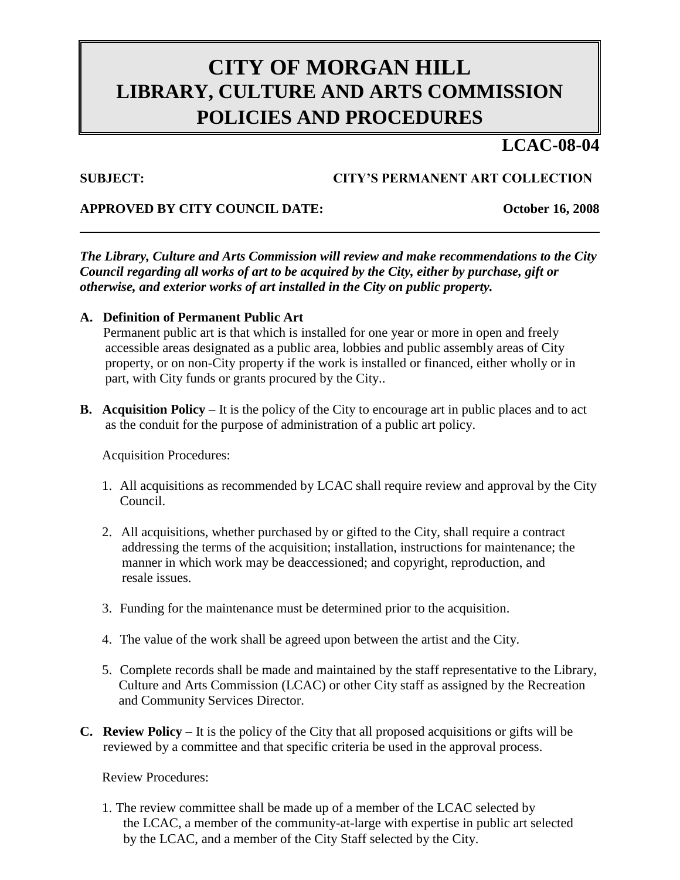# **CITY OF MORGAN HILL LIBRARY, CULTURE AND ARTS COMMISSION POLICIES AND PROCEDURES**

## **LCAC-08-04**

### **SUBJECT: CITY'S PERMANENT ART COLLECTION**

#### **APPROVED BY CITY COUNCIL DATE: October 16, 2008**

*The Library, Culture and Arts Commission will review and make recommendations to the City Council regarding all works of art to be acquired by the City, either by purchase, gift or otherwise, and exterior works of art installed in the City on public property.*

#### **A. Definition of Permanent Public Art**

Permanent public art is that which is installed for one year or more in open and freely accessible areas designated as a public area, lobbies and public assembly areas of City property, or on non-City property if the work is installed or financed, either wholly or in part, with City funds or grants procured by the City..

**B. Acquisition Policy** – It is the policy of the City to encourage art in public places and to act as the conduit for the purpose of administration of a public art policy.

Acquisition Procedures:

- 1. All acquisitions as recommended by LCAC shall require review and approval by the City Council.
- 2. All acquisitions, whether purchased by or gifted to the City, shall require a contract addressing the terms of the acquisition; installation, instructions for maintenance; the manner in which work may be deaccessioned; and copyright, reproduction, and resale issues.
- 3. Funding for the maintenance must be determined prior to the acquisition.
- 4. The value of the work shall be agreed upon between the artist and the City.
- 5. Complete records shall be made and maintained by the staff representative to the Library, Culture and Arts Commission (LCAC) or other City staff as assigned by the Recreation and Community Services Director.
- **C. Review Policy** It is the policy of the City that all proposed acquisitions or gifts will be reviewed by a committee and that specific criteria be used in the approval process.

Review Procedures:

1. The review committee shall be made up of a member of the LCAC selected by the LCAC, a member of the community-at-large with expertise in public art selected by the LCAC, and a member of the City Staff selected by the City.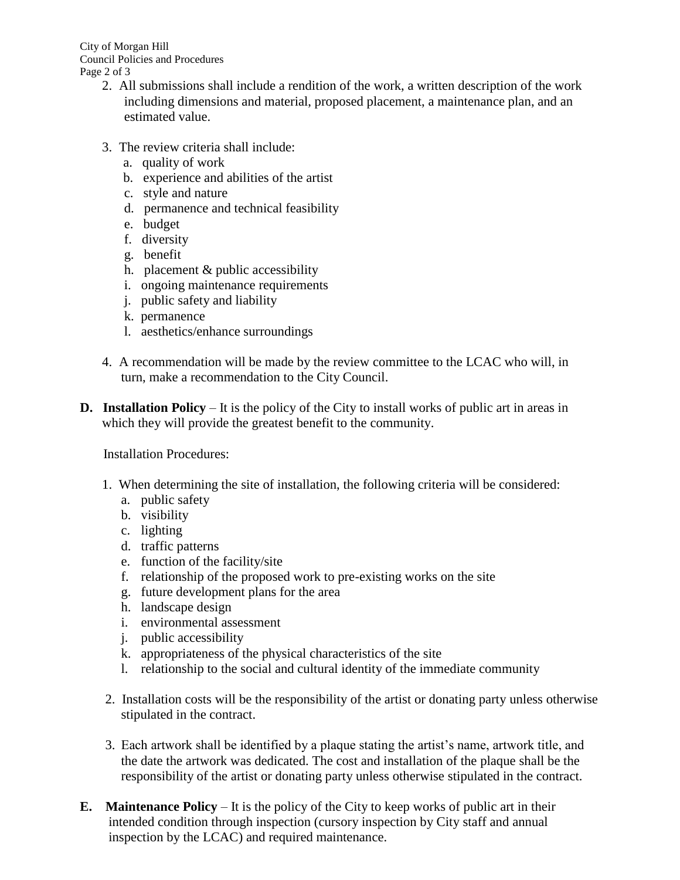City of Morgan Hill Council Policies and Procedures Page 2 of 3

- 2. All submissions shall include a rendition of the work, a written description of the work including dimensions and material, proposed placement, a maintenance plan, and an estimated value.
- 3. The review criteria shall include:
	- a. quality of work
	- b. experience and abilities of the artist
	- c. style and nature
	- d. permanence and technical feasibility
	- e. budget
	- f. diversity
	- g. benefit
	- h. placement & public accessibility
	- i. ongoing maintenance requirements
	- j. public safety and liability
	- k. permanence
	- l. aesthetics/enhance surroundings
- 4. A recommendation will be made by the review committee to the LCAC who will, in turn, make a recommendation to the City Council.
- **D. Installation Policy** It is the policy of the City to install works of public art in areas in which they will provide the greatest benefit to the community.

Installation Procedures:

- 1. When determining the site of installation, the following criteria will be considered:
	- a. public safety
	- b. visibility
	- c. lighting
	- d. traffic patterns
	- e. function of the facility/site
	- f. relationship of the proposed work to pre-existing works on the site
	- g. future development plans for the area
	- h. landscape design
	- i. environmental assessment
	- j. public accessibility
	- k. appropriateness of the physical characteristics of the site
	- l. relationship to the social and cultural identity of the immediate community
- 2. Installation costs will be the responsibility of the artist or donating party unless otherwise stipulated in the contract.
- 3. Each artwork shall be identified by a plaque stating the artist's name, artwork title, and the date the artwork was dedicated. The cost and installation of the plaque shall be the responsibility of the artist or donating party unless otherwise stipulated in the contract.
- **E. Maintenance Policy** It is the policy of the City to keep works of public art in their intended condition through inspection (cursory inspection by City staff and annual inspection by the LCAC) and required maintenance.